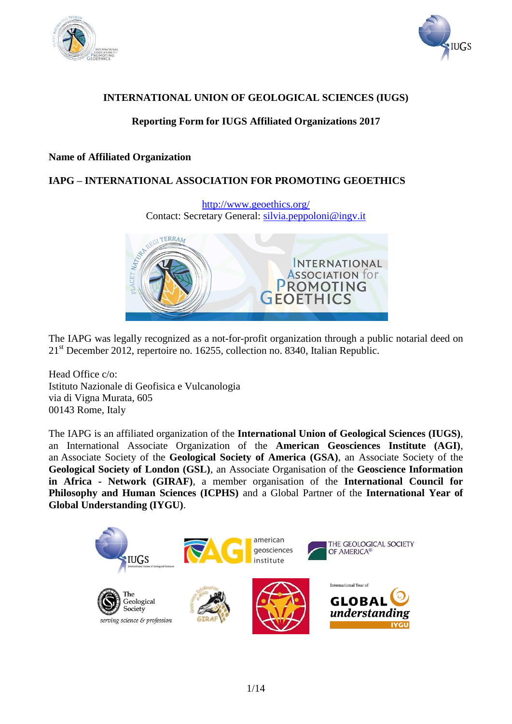



# **INTERNATIONAL UNION OF GEOLOGICAL SCIENCES (IUGS)**

# **Reporting Form for IUGS Affiliated Organizations 2017**

### **Name of Affiliated Organization**

# **IAPG – INTERNATIONAL ASSOCIATION FOR PROMOTING GEOETHICS**

<http://www.geoethics.org/> Contact: Secretary General: [silvia.peppoloni@ingv.it](mailto:silvia.peppoloni@ingv.it)



The IAPG was legally recognized as a not-for-profit organization through a public notarial deed on 21<sup>st</sup> December 2012, repertoire no. 16255, collection no. 8340, Italian Republic.

Head Office c/o: Istituto Nazionale di Geofisica e Vulcanologia via di Vigna Murata, 605 00143 Rome, Italy

The IAPG is an affiliated organization of the **International Union of Geological Sciences (IUGS)**, an International Associate Organization of the **American Geosciences Institute (AGI)**, an Associate Society of the **Geological Society of America (GSA)**, an Associate Society of the **Geological Society of London (GSL)**, an Associate Organisation of the **Geoscience Information in Africa - Network (GIRAF)**, a member organisation of the **International Council for Philosophy and Human Sciences (ICPHS)** and a Global Partner of the **International Year of Global Understanding (IYGU)**.

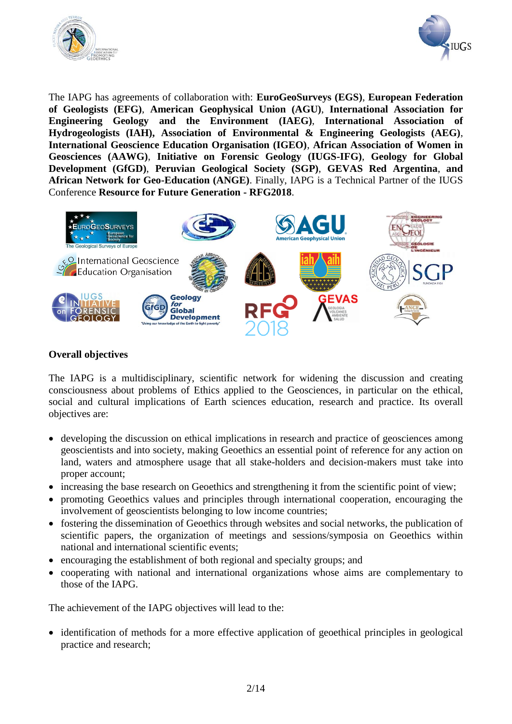



The IAPG has agreements of collaboration with: **EuroGeoSurveys (EGS)**, **European Federation of Geologists (EFG)**, **American Geophysical Union (AGU)**, **International Association for Engineering Geology and the Environment (IAEG)**, **International Association of Hydrogeologists (IAH), Association of Environmental & Engineering Geologists (AEG)**, **International Geoscience Education Organisation (IGEO)**, **African Association of Women in Geosciences (AAWG)**, **Initiative on Forensic Geology (IUGS-IFG)**, **Geology for Global Development (GfGD)**, **Peruvian Geological Society (SGP)**, **GEVAS Red Argentina**, **and African Network for Geo-Education (ANGE)**. Finally, IAPG is a Technical Partner of the IUGS Conference **Resource for Future Generation - RFG2018**.



# **Overall objectives**

The IAPG is a multidisciplinary, scientific network for widening the discussion and creating consciousness about problems of Ethics applied to the Geosciences, in particular on the ethical, social and cultural implications of Earth sciences education, research and practice. Its overall objectives are:

- developing the discussion on ethical implications in research and practice of geosciences among geoscientists and into society, making Geoethics an essential point of reference for any action on land, waters and atmosphere usage that all stake-holders and decision-makers must take into proper account;
- increasing the base research on Geoethics and strengthening it from the scientific point of view;
- promoting Geoethics values and principles through international cooperation, encouraging the involvement of geoscientists belonging to low income countries;
- fostering the dissemination of Geoethics through websites and social networks, the publication of scientific papers, the organization of meetings and sessions/symposia on Geoethics within national and international scientific events;
- encouraging the establishment of both regional and specialty groups; and
- cooperating with national and international organizations whose aims are complementary to those of the IAPG.

The achievement of the IAPG objectives will lead to the:

• identification of methods for a more effective application of geoethical principles in geological practice and research;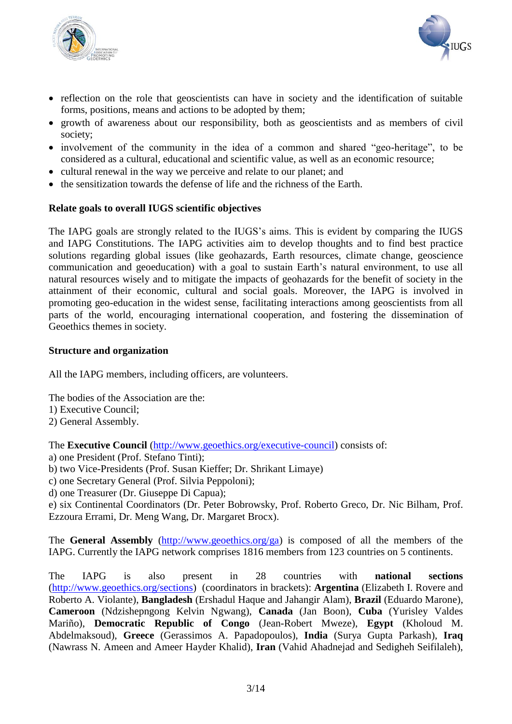



- reflection on the role that geoscientists can have in society and the identification of suitable forms, positions, means and actions to be adopted by them;
- growth of awareness about our responsibility, both as geoscientists and as members of civil society;
- involvement of the community in the idea of a common and shared "geo-heritage", to be considered as a cultural, educational and scientific value, as well as an economic resource;
- cultural renewal in the way we perceive and relate to our planet; and
- the sensitization towards the defense of life and the richness of the Earth.

### **Relate goals to overall IUGS scientific objectives**

The IAPG goals are strongly related to the IUGS's aims. This is evident by comparing the IUGS and IAPG Constitutions. The IAPG activities aim to develop thoughts and to find best practice solutions regarding global issues (like geohazards, Earth resources, climate change, geoscience communication and geoeducation) with a goal to sustain Earth's natural environment, to use all natural resources wisely and to mitigate the impacts of geohazards for the benefit of society in the attainment of their economic, cultural and social goals. Moreover, the IAPG is involved in promoting geo-education in the widest sense, facilitating interactions among geoscientists from all parts of the world, encouraging international cooperation, and fostering the dissemination of Geoethics themes in society.

#### **Structure and organization**

All the IAPG members, including officers, are volunteers.

The bodies of the Association are the:

- 1) Executive Council;
- 2) General Assembly.

The **Executive Council** [\(http://www.geoethics.org/executive-council\)](http://www.geoethics.org/executive-council) consists of:

- a) one President (Prof. Stefano Tinti);
- b) two Vice-Presidents (Prof. Susan Kieffer; Dr. Shrikant Limaye)
- c) one Secretary General (Prof. Silvia Peppoloni);

d) one Treasurer (Dr. Giuseppe Di Capua);

e) six Continental Coordinators (Dr. Peter Bobrowsky, Prof. Roberto Greco, Dr. Nic Bilham, Prof. Ezzoura Errami, Dr. Meng Wang, Dr. Margaret Brocx).

The **General Assembly** [\(http://www.geoethics.org/ga\)](http://www.geoethics.org/ga) is composed of all the members of the IAPG. Currently the IAPG network comprises 1816 members from 123 countries on 5 continents.

The IAPG is also present in 28 countries with **national sections** [\(http://www.geoethics.org/sections\)](http://www.geoethics.org/sections) (coordinators in brackets): **Argentina** (Elizabeth I. Rovere and Roberto A. Violante), **Bangladesh** (Ershadul Haque and Jahangir Alam), **Brazil** (Eduardo Marone), **Cameroon** (Ndzishepngong Kelvin Ngwang), **Canada** (Jan Boon), **Cuba** (Yurisley Valdes Mariño), **Democratic Republic of Congo** (Jean-Robert Mweze), **Egypt** (Kholoud M. Abdelmaksoud), **Greece** (Gerassimos A. Papadopoulos), **India** (Surya Gupta Parkash), **Iraq** (Nawrass N. Ameen and Ameer Hayder Khalid), **Iran** (Vahid Ahadnejad and Sedigheh Seifilaleh),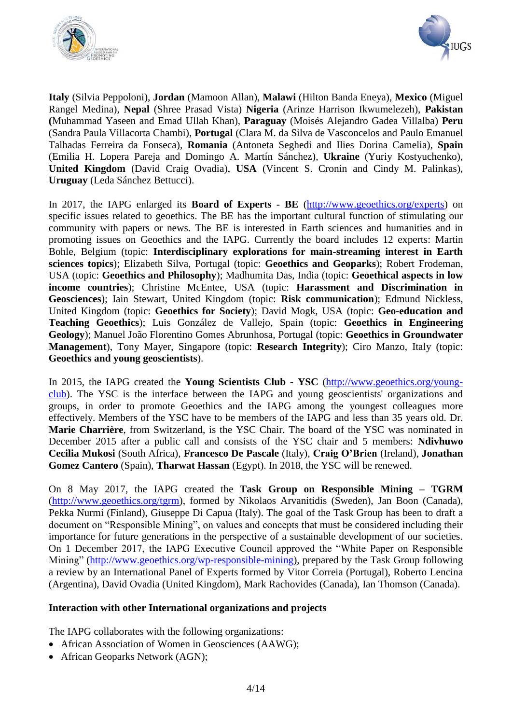



**Italy** (Silvia Peppoloni), **Jordan** (Mamoon Allan), **Malawi** (Hilton Banda Eneya), **Mexico** (Miguel Rangel Medina), **Nepal** (Shree Prasad Vista) **Nigeria** (Arinze Harrison Ikwumelezeh), **Pakistan (**Muhammad Yaseen and Emad Ullah Khan), **Paraguay** (Moisés Alejandro Gadea Villalba) **Peru** (Sandra Paula Villacorta Chambi), **Portugal** (Clara M. da Silva de Vasconcelos and Paulo Emanuel Talhadas Ferreira da Fonseca), **Romania** (Antoneta Seghedi and Ilies Dorina Camelia), **Spain** (Emilia H. Lopera Pareja and Domingo A. Martín Sánchez), **Ukraine** (Yuriy Kostyuchenko), **United Kingdom** (David Craig Ovadia), **USA** (Vincent S. Cronin and Cindy M. Palinkas), **Uruguay** (Leda Sánchez Bettucci).

In 2017, the IAPG enlarged its **Board of Experts - BE** [\(http://www.geoethics.org/experts\)](http://www.geoethics.org/experts) on specific issues related to geoethics. The BE has the important cultural function of stimulating our community with papers or news. The BE is interested in Earth sciences and humanities and in promoting issues on Geoethics and the IAPG. Currently the board includes 12 experts: Martin Bohle, Belgium (topic: **Interdisciplinary explorations for main-streaming interest in Earth sciences topics**); Elizabeth Silva, Portugal (topic: **Geoethics and Geoparks**); Robert Frodeman, USA (topic: **Geoethics and Philosophy**); Madhumita Das, India (topic: **Geoethical aspects in low income countries**); Christine McEntee, USA (topic: **Harassment and Discrimination in Geosciences**); Iain Stewart, United Kingdom (topic: **Risk communication**); Edmund Nickless, United Kingdom (topic: **Geoethics for Society**); David Mogk, USA (topic: **Geo-education and Teaching Geoethics**); Luis González de Vallejo, Spain (topic: **Geoethics in Engineering Geology**); Manuel João Florentino Gomes Abrunhosa, Portugal (topic: **Geoethics in Groundwater Management**), Tony Mayer, Singapore (topic: **Research Integrity**); Ciro Manzo, Italy (topic: **Geoethics and young geoscientists**).

In 2015, the IAPG created the **Young Scientists Club - YSC** [\(http://www.geoethics.org/young](http://www.geoethics.org/young-club)[club\)](http://www.geoethics.org/young-club). The YSC is the interface between the IAPG and young geoscientists' organizations and groups, in order to promote Geoethics and the IAPG among the youngest colleagues more effectively. Members of the YSC have to be members of the IAPG and less than 35 years old. Dr. **Marie Charrière**, from Switzerland, is the YSC Chair. The board of the YSC was nominated in December 2015 after a public call and consists of the YSC chair and 5 members: **Ndivhuwo Cecilia Mukosi** (South Africa), **Francesco De Pascale** (Italy), **Craig O'Brien** (Ireland), **Jonathan Gomez Cantero** (Spain), **Tharwat Hassan** (Egypt). In 2018, the YSC will be renewed.

On 8 May 2017, the IAPG created the **Task Group on Responsible Mining – TGRM**  [\(http://www.geoethics.org/tgrm\)](http://www.geoethics.org/tgrm), formed by Nikolaos Arvanitidis (Sweden), Jan Boon (Canada), Pekka Nurmi (Finland), Giuseppe Di Capua (Italy). The goal of the Task Group has been to draft a document on "Responsible Mining", on values and concepts that must be considered including their importance for future generations in the perspective of a sustainable development of our societies. On 1 December 2017, the IAPG Executive Council approved the "White Paper on Responsible Mining" [\(http://www.geoethics.org/wp-responsible-mining\)](http://www.geoethics.org/wp-responsible-mining), prepared by the Task Group following a review by an International Panel of Experts formed by Vitor Correia (Portugal), Roberto Lencina (Argentina), David Ovadia (United Kingdom), Mark Rachovides (Canada), Ian Thomson (Canada).

### **Interaction with other International organizations and projects**

The IAPG collaborates with the following organizations:

- African Association of Women in Geosciences (AAWG);
- African Geoparks Network (AGN);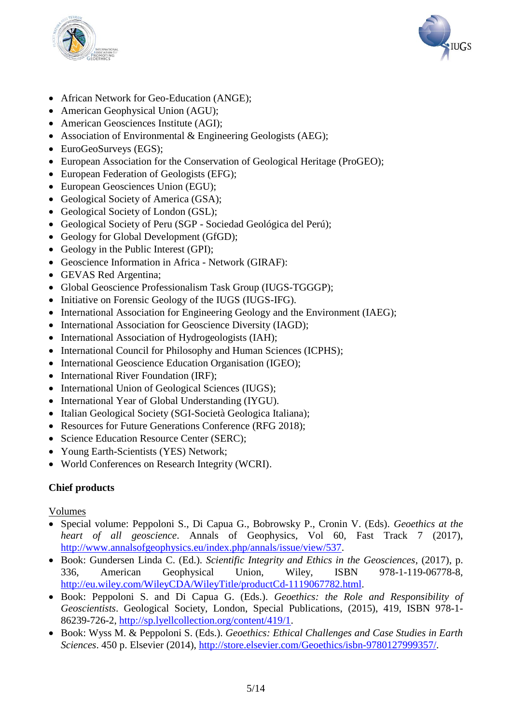



- African Network for Geo-Education (ANGE);
- American Geophysical Union (AGU);
- American Geosciences Institute (AGI);
- Association of Environmental & Engineering Geologists (AEG);
- EuroGeoSurveys (EGS);
- European Association for the Conservation of Geological Heritage (ProGEO);
- European Federation of Geologists (EFG);
- European Geosciences Union (EGU);
- Geological Society of America (GSA);
- Geological Society of London (GSL);
- Geological Society of Peru (SGP Sociedad Geológica del Perú);
- Geology for Global Development (GfGD);
- Geology in the Public Interest (GPI);
- Geoscience Information in Africa Network (GIRAF):
- GEVAS Red Argentina;
- Global Geoscience Professionalism Task Group (IUGS-TGGGP);
- Initiative on Forensic Geology of the IUGS (IUGS-IFG).
- International Association for Engineering Geology and the Environment (IAEG);
- International Association for Geoscience Diversity (IAGD);
- International Association of Hydrogeologists (IAH);
- International Council for Philosophy and Human Sciences (ICPHS);
- International Geoscience Education Organisation (IGEO);
- International River Foundation (IRF);
- International Union of Geological Sciences (IUGS);
- International Year of Global Understanding (IYGU).
- Italian Geological Society (SGI-Società Geologica Italiana);
- Resources for Future Generations Conference (RFG 2018);
- Science Education Resource Center (SERC):
- Young Earth-Scientists (YES) Network;
- World Conferences on Research Integrity (WCRI).

# **Chief products**

### Volumes

- Special volume: Peppoloni S., Di Capua G., Bobrowsky P., Cronin V. (Eds). *Geoethics at the heart of all geoscience*. Annals of Geophysics, Vol 60, Fast Track 7 (2017), [http://www.annalsofgeophysics.eu/index.php/annals/issue/view/537.](http://www.annalsofgeophysics.eu/index.php/annals/issue/view/537)
- Book: Gundersen Linda C. (Ed.). *Scientific Integrity and Ethics in the Geosciences*, (2017), p. 336, American Geophysical Union, Wiley, ISBN 978-1-119-06778-8, [http://eu.wiley.com/WileyCDA/WileyTitle/productCd-1119067782.html.](http://eu.wiley.com/WileyCDA/WileyTitle/productCd-1119067782.html)
- Book: Peppoloni S. and Di Capua G. (Eds.). *Geoethics: the Role and Responsibility of Geoscientists*. Geological Society, London, Special Publications, (2015), 419, ISBN 978-1- 86239-726-2, [http://sp.lyellcollection.org/content/419/1.](http://sp.lyellcollection.org/content/419/1)
- Book: Wyss M. & Peppoloni S. (Eds.). *Geoethics: Ethical Challenges and Case Studies in Earth Sciences*. 450 p. Elsevier (2014), [http://store.elsevier.com/Geoethics/isbn-9780127999357/.](http://store.elsevier.com/Geoethics/isbn-9780127999357/)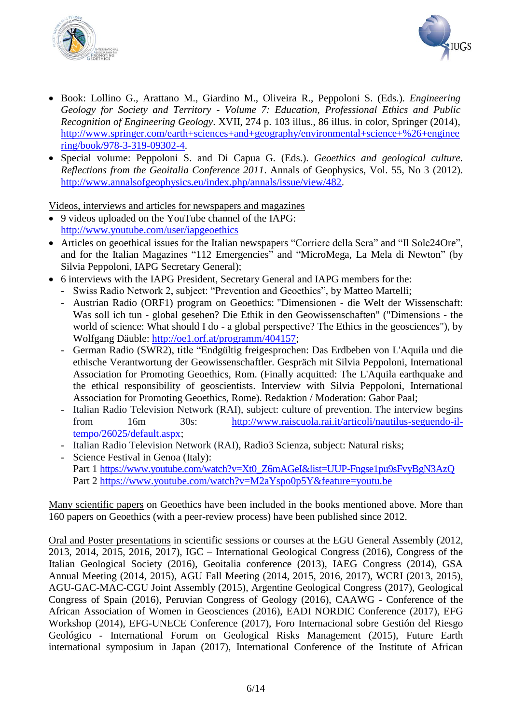



- Book: Lollino G., Arattano M., Giardino M., Oliveira R., Peppoloni S. (Eds.). *Engineering Geology for Society and Territory - Volume 7: Education, Professional Ethics and Public Recognition of Engineering Geology*. XVII, 274 p. 103 illus., 86 illus. in color, Springer (2014), [http://www.springer.com/earth+sciences+and+geography/environmental+science+%26+enginee](http://www.springer.com/earth+sciences+and+geography/environmental+science+%26+engineering/book/978-3-319-09302-4) [ring/book/978-3-319-09302-4.](http://www.springer.com/earth+sciences+and+geography/environmental+science+%26+engineering/book/978-3-319-09302-4)
- Special volume: Peppoloni S. and Di Capua G. (Eds.). *Geoethics and geological culture. Reflections from the Geoitalia Conference 2011*. Annals of Geophysics, Vol. 55, No 3 (2012). [http://www.annalsofgeophysics.eu/index.php/annals/issue/view/482.](http://www.annalsofgeophysics.eu/index.php/annals/issue/view/482)

Videos, interviews and articles for newspapers and magazines

- 9 videos uploaded on the YouTube channel of the IAPG: <http://www.youtube.com/user/iapgeoethics>
- Articles on geoethical issues for the Italian newspapers "Corriere della Sera" and "Il Sole24Ore", and for the Italian Magazines "112 Emergencies" and "MicroMega, La Mela di Newton" (by Silvia Peppoloni, IAPG Secretary General);
- 6 interviews with the IAPG President, Secretary General and IAPG members for the:
	- Swiss Radio Network 2, subject: "Prevention and Geoethics", by Matteo Martelli;
	- Austrian Radio (ORF1) program on Geoethics: "Dimensionen die Welt der Wissenschaft: Was soll ich tun - global gesehen? Die Ethik in den Geowissenschaften" ("Dimensions - the world of science: What should I do - a global perspective? The Ethics in the geosciences"), by Wolfgang Däuble: [http://oe1.orf.at/programm/404157;](http://oe1.orf.at/programm/404157)
	- German Radio (SWR2), title "Endgültig freigesprochen: Das Erdbeben von L'Aquila und die ethische Verantwortung der Geowissenschaftler. Gespräch mit Silvia Peppoloni, International Association for Promoting Geoethics, Rom. (Finally acquitted: The L'Aquila earthquake and the ethical responsibility of geoscientists. Interview with Silvia Peppoloni, International Association for Promoting Geoethics, Rome). Redaktion / Moderation: Gabor Paal;
	- Italian Radio Television Network (RAI), subject: culture of prevention. The interview begins from 16m 30s: [http://www.raiscuola.rai.it/articoli/nautilus-seguendo-il](http://www.raiscuola.rai.it/articoli/nautilus-seguendo-il-tempo/26025/default.aspx)[tempo/26025/default.aspx;](http://www.raiscuola.rai.it/articoli/nautilus-seguendo-il-tempo/26025/default.aspx)
	- Italian Radio Television Network (RAI), Radio3 Scienza, subject: Natural risks;
	- Science Festival in Genoa (Italy): Part 1 [https://www.youtube.com/watch?v=Xt0\\_Z6mAGeI&list=UUP-Fngse1pu9sFvyBgN3AzQ](https://www.youtube.com/watch?v=Xt0_Z6mAGeI&list=UUP-Fngse1pu9sFvyBgN3AzQ) Part 2<https://www.youtube.com/watch?v=M2aYspo0p5Y&feature=youtu.be>

Many scientific papers on Geoethics have been included in the books mentioned above. More than 160 papers on Geoethics (with a peer-review process) have been published since 2012.

Oral and Poster presentations in scientific sessions or courses at the EGU General Assembly (2012, 2013, 2014, 2015, 2016, 2017), IGC – International Geological Congress (2016), Congress of the Italian Geological Society (2016), Geoitalia conference (2013), IAEG Congress (2014), GSA Annual Meeting (2014, 2015), AGU Fall Meeting (2014, 2015, 2016, 2017), WCRI (2013, 2015), AGU-GAC-MAC-CGU Joint Assembly (2015), Argentine Geological Congress (2017), Geological Congress of Spain (2016), Peruvian Congress of Geology (2016), CAAWG - Conference of the African Association of Women in Geosciences (2016), EADI NORDIC Conference (2017), EFG Workshop (2014), EFG-UNECE Conference (2017), Foro Internacional sobre Gestión del Riesgo Geológico - International Forum on Geological Risks Management (2015), Future Earth international symposium in Japan (2017), International Conference of the Institute of African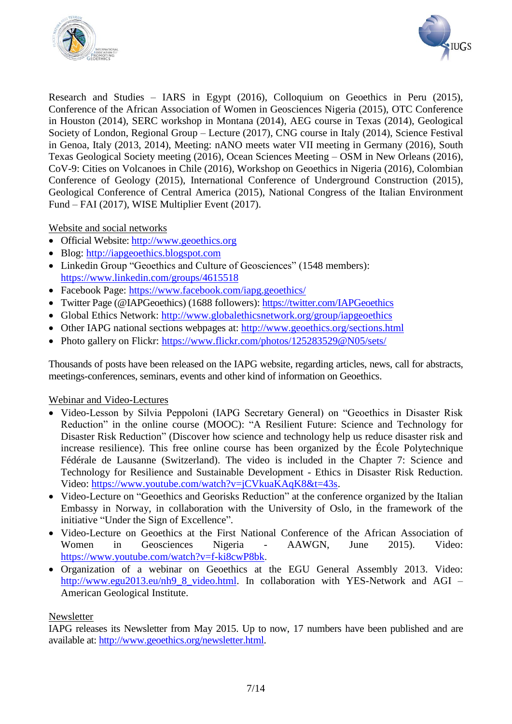



Research and Studies – IARS in Egypt (2016), Colloquium on Geoethics in Peru (2015), Conference of the African Association of Women in Geosciences Nigeria (2015), OTC Conference in Houston (2014), SERC workshop in Montana (2014), AEG course in Texas (2014), Geological Society of London, Regional Group – Lecture (2017), CNG course in Italy (2014), Science Festival in Genoa, Italy (2013, 2014), Meeting: nANO meets water VII meeting in Germany (2016), South Texas Geological Society meeting (2016), Ocean Sciences Meeting – OSM in New Orleans (2016), CoV-9: Cities on Volcanoes in Chile (2016), Workshop on Geoethics in Nigeria (2016), Colombian Conference of Geology (2015), International Conference of Underground Construction (2015), Geological Conference of Central America (2015), National Congress of the Italian Environment Fund – FAI (2017), WISE Multiplier Event (2017).

Website and social networks

- Official Website: [http://www.geoethics.org](http://www.geoethics.org/)
- Blog: [http://iapgeoethics.blogspot.com](http://iapgeoethics.blogspot.com/)
- Linkedin Group "Geoethics and Culture of Geosciences" (1548 members): <https://www.linkedin.com/groups/4615518>
- Facebook Page:<https://www.facebook.com/iapg.geoethics/>
- Twitter Page (@IAPGeoethics) (1688 followers):<https://twitter.com/IAPGeoethics>
- Global Ethics Network:<http://www.globalethicsnetwork.org/group/iapgeoethics>
- Other IAPG national sections webpages at: <http://www.geoethics.org/sections.html>
- Photo gallery on Flickr:<https://www.flickr.com/photos/125283529@N05/sets/>

Thousands of posts have been released on the IAPG website, regarding articles, news, call for abstracts, meetings-conferences, seminars, events and other kind of information on Geoethics.

# Webinar and Video-Lectures

- Video-Lesson by Silvia Peppoloni (IAPG Secretary General) on "Geoethics in Disaster Risk Reduction" in the online course (MOOC): "A Resilient Future: Science and Technology for Disaster Risk Reduction" (Discover how science and technology help us reduce disaster risk and increase resilience). This free online course has been organized by the École Polytechnique Fédérale de Lausanne (Switzerland). The video is included in the Chapter 7: Science and Technology for Resilience and Sustainable Development - Ethics in Disaster Risk Reduction. Video: [https://www.youtube.com/watch?v=jCVkuaKAqK8&t=43s.](https://www.youtube.com/watch?v=jCVkuaKAqK8&t=43s)
- Video-Lecture on "Geoethics and Georisks Reduction" at the conference organized by the Italian Embassy in Norway, in collaboration with the University of Oslo, in the framework of the initiative "Under the Sign of Excellence".
- Video-Lecture on Geoethics at the First National Conference of the African Association of Women in Geosciences Nigeria - AAWGN, June 2015). Video: [https://www.youtube.com/watch?v=f-ki8cwP8bk.](https://www.youtube.com/watch?v=f-ki8cwP8bk)
- Organization of a webinar on Geoethics at the EGU General Assembly 2013. Video: [http://www.egu2013.eu/nh9\\_8\\_video.html.](http://www.egu2013.eu/nh9_8_video.html) In collaboration with YES-Network and AGI – American Geological Institute.

# Newsletter

IAPG releases its Newsletter from May 2015. Up to now, 17 numbers have been published and are available at: [http://www.geoethics.org/newsletter.html.](http://www.geoethics.org/newsletter.html)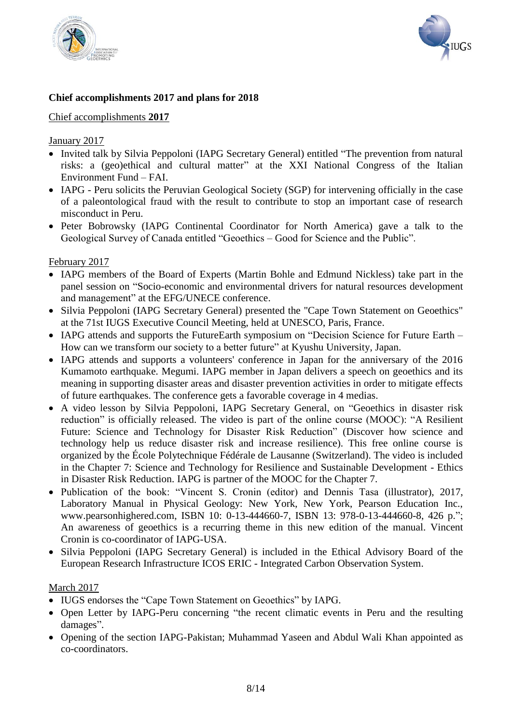



# **Chief accomplishments 2017 and plans for 2018**

# Chief accomplishments **2017**

### January 2017

- Invited talk by Silvia Peppoloni (IAPG Secretary General) entitled "The prevention from natural risks: a (geo)ethical and cultural matter" at the XXI National Congress of the Italian Environment Fund – FAI.
- IAPG Peru solicits the Peruvian Geological Society (SGP) for intervening officially in the case of a paleontological fraud with the result to contribute to stop an important case of research misconduct in Peru.
- Peter Bobrowsky (IAPG Continental Coordinator for North America) gave a talk to the Geological Survey of Canada entitled "Geoethics – Good for Science and the Public".

## February 2017

- IAPG members of the Board of Experts (Martin Bohle and Edmund Nickless) take part in the panel session on "Socio-economic and environmental drivers for natural resources development and management" at the EFG/UNECE conference.
- Silvia Peppoloni (IAPG Secretary General) presented the "Cape Town Statement on Geoethics" at the 71st IUGS Executive Council Meeting, held at UNESCO, Paris, France.
- IAPG attends and supports the FutureEarth symposium on "Decision Science for Future Earth How can we transform our society to a better future" at Kyushu University, Japan.
- IAPG attends and supports a volunteers' conference in Japan for the anniversary of the 2016 Kumamoto earthquake. Megumi. IAPG member in Japan delivers a speech on geoethics and its meaning in supporting disaster areas and disaster prevention activities in order to mitigate effects of future earthquakes. The conference gets a favorable coverage in 4 medias.
- A video lesson by Silvia Peppoloni, IAPG Secretary General, on "Geoethics in disaster risk reduction" is officially released. The video is part of the online course (MOOC): "A Resilient Future: Science and Technology for Disaster Risk Reduction" (Discover how science and technology help us reduce disaster risk and increase resilience). This free online course is organized by the École Polytechnique Fédérale de Lausanne (Switzerland). The video is included in the Chapter 7: Science and Technology for Resilience and Sustainable Development - Ethics in Disaster Risk Reduction. IAPG is partner of the MOOC for the Chapter 7.
- Publication of the book: "Vincent S. Cronin (editor) and Dennis Tasa (illustrator), 2017, Laboratory Manual in Physical Geology: New York, New York, Pearson Education Inc., www.pearsonhighered.com, ISBN 10: 0-13-444660-7, ISBN 13: 978-0-13-444660-8, 426 p."; An awareness of geoethics is a recurring theme in this new edition of the manual. Vincent Cronin is co-coordinator of IAPG-USA.
- Silvia Peppoloni (IAPG Secretary General) is included in the Ethical Advisory Board of the European Research Infrastructure ICOS ERIC - Integrated Carbon Observation System.

# March 2017

- IUGS endorses the "Cape Town Statement on Geoethics" by IAPG.
- Open Letter by IAPG-Peru concerning "the recent climatic events in Peru and the resulting damages".
- Opening of the section IAPG-Pakistan; Muhammad Yaseen and Abdul Wali Khan appointed as co-coordinators.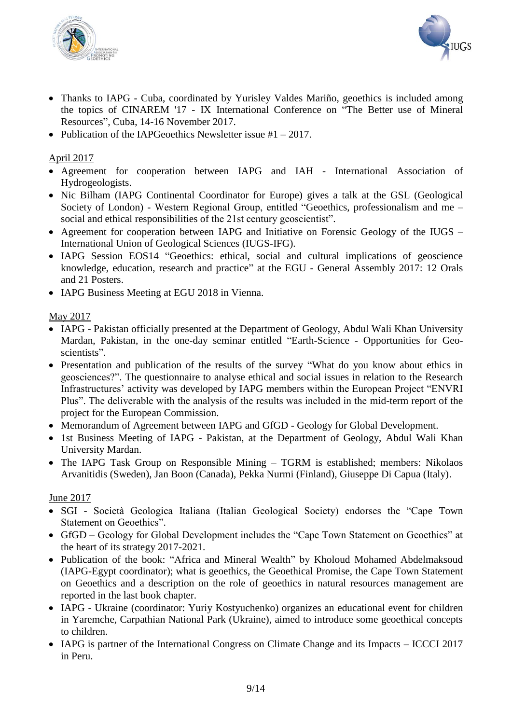



- Thanks to IAPG Cuba, coordinated by Yurisley Valdes Mariño, geoethics is included among the topics of CINAREM '17 - IX International Conference on "The Better use of Mineral Resources", Cuba, 14-16 November 2017.
- Publication of the IAPGeoethics Newsletter issue  $#1 2017$ .

# April 2017

- Agreement for cooperation between IAPG and IAH International Association of Hydrogeologists.
- Nic Bilham (IAPG Continental Coordinator for Europe) gives a talk at the GSL (Geological Society of London) - Western Regional Group, entitled "Geoethics, professionalism and me – social and ethical responsibilities of the 21st century geoscientist".
- Agreement for cooperation between IAPG and Initiative on Forensic Geology of the IUGS International Union of Geological Sciences (IUGS-IFG).
- IAPG Session EOS14 "Geoethics: ethical, social and cultural implications of geoscience knowledge, education, research and practice" at the EGU - General Assembly 2017: 12 Orals and 21 Posters.
- IAPG Business Meeting at EGU 2018 in Vienna.

# May 2017

- IAPG Pakistan officially presented at the Department of Geology, Abdul Wali Khan University Mardan, Pakistan, in the one-day seminar entitled "Earth-Science - Opportunities for Geoscientists".
- Presentation and publication of the results of the survey "What do you know about ethics in geosciences?". The questionnaire to analyse ethical and social issues in relation to the Research Infrastructures' activity was developed by IAPG members within the European Project "ENVRI Plus". The deliverable with the analysis of the results was included in the mid-term report of the project for the European Commission.
- Memorandum of Agreement between IAPG and GfGD Geology for Global Development.
- 1st Business Meeting of IAPG Pakistan, at the Department of Geology, Abdul Wali Khan University Mardan.
- The IAPG Task Group on Responsible Mining TGRM is established; members: Nikolaos Arvanitidis (Sweden), Jan Boon (Canada), Pekka Nurmi (Finland), Giuseppe Di Capua (Italy).

# June 2017

- SGI Società Geologica Italiana (Italian Geological Society) endorses the "Cape Town Statement on Geoethics".
- GfGD Geology for Global Development includes the "Cape Town Statement on Geoethics" at the heart of its strategy 2017-2021.
- Publication of the book: "Africa and Mineral Wealth" by Kholoud Mohamed Abdelmaksoud (IAPG-Egypt coordinator); what is geoethics, the Geoethical Promise, the Cape Town Statement on Geoethics and a description on the role of geoethics in natural resources management are reported in the last book chapter.
- IAPG Ukraine (coordinator: Yuriy Kostyuchenko) organizes an educational event for children in Yaremche, Carpathian National Park (Ukraine), aimed to introduce some geoethical concepts to children.
- IAPG is partner of the International Congress on Climate Change and its Impacts ICCCI 2017 in Peru.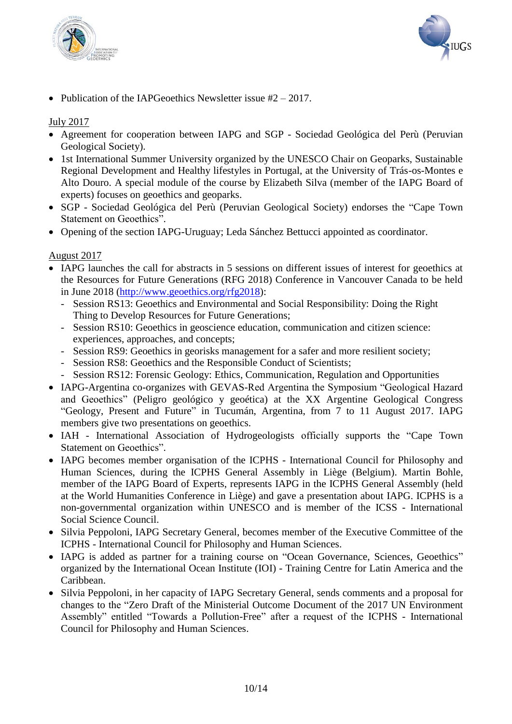



• Publication of the IAPGeoethics Newsletter issue  $#2 - 2017$ .

## July 2017

- Agreement for cooperation between IAPG and SGP Sociedad Geológica del Perù (Peruvian Geological Society).
- 1st International Summer University organized by the UNESCO Chair on Geoparks, Sustainable Regional Development and Healthy lifestyles in Portugal, at the University of Trás-os-Montes e Alto Douro. A special module of the course by Elizabeth Silva (member of the IAPG Board of experts) focuses on geoethics and geoparks.
- SGP Sociedad Geológica del Perù (Peruvian Geological Society) endorses the "Cape Town Statement on Geoethics".
- Opening of the section IAPG-Uruguay; Leda Sánchez Bettucci appointed as coordinator.

### August 2017

- IAPG launches the call for abstracts in 5 sessions on different issues of interest for geoethics at the Resources for Future Generations (RFG 2018) Conference in Vancouver Canada to be held in June 2018 [\(http://www.geoethics.org/rfg2018\)](http://www.geoethics.org/rfg2018):
	- Session RS13: Geoethics and Environmental and Social Responsibility: Doing the Right Thing to Develop Resources for Future Generations;
	- Session RS10: Geoethics in geoscience education, communication and citizen science: experiences, approaches, and concepts;
	- Session RS9: Geoethics in georisks management for a safer and more resilient society;
	- Session RS8: Geoethics and the Responsible Conduct of Scientists;
	- Session RS12: Forensic Geology: Ethics, Communication, Regulation and Opportunities
- IAPG-Argentina co-organizes with GEVAS-Red Argentina the Symposium "Geological Hazard and Geoethics" (Peligro geológico y geoética) at the XX Argentine Geological Congress "Geology, Present and Future" in Tucumán, Argentina, from 7 to 11 August 2017. IAPG members give two presentations on geoethics.
- IAH International Association of Hydrogeologists officially supports the "Cape Town" Statement on Geoethics".
- IAPG becomes member organisation of the ICPHS International Council for Philosophy and Human Sciences, during the ICPHS General Assembly in Liège (Belgium). Martin Bohle, member of the IAPG Board of Experts, represents IAPG in the ICPHS General Assembly (held at the World Humanities Conference in Liège) and gave a presentation about IAPG. ICPHS is a non-governmental organization within UNESCO and is member of the ICSS - International Social Science Council.
- Silvia Peppoloni, IAPG Secretary General, becomes member of the Executive Committee of the ICPHS - International Council for Philosophy and Human Sciences.
- IAPG is added as partner for a training course on "Ocean Governance, Sciences, Geoethics" organized by the International Ocean Institute (IOI) - Training Centre for Latin America and the Caribbean.
- Silvia Peppoloni, in her capacity of IAPG Secretary General, sends comments and a proposal for changes to the "Zero Draft of the Ministerial Outcome Document of the 2017 UN Environment Assembly" entitled "Towards a Pollution-Free" after a request of the ICPHS - International Council for Philosophy and Human Sciences.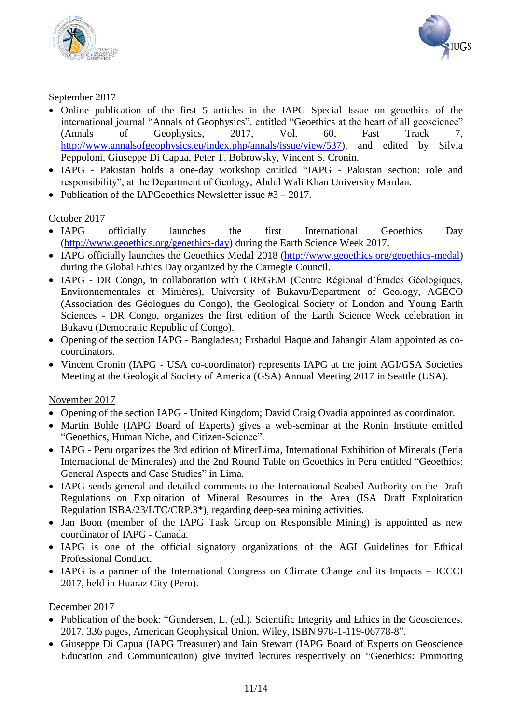



# September 2017

- Online publication of the first 5 articles in the IAPG Special Issue on geoethics of the international journal "Annals of Geophysics", entitled "Geoethics at the heart of all geoscience" (Annals of Geophysics, 2017, Vol. 60, Fast Track 7, [http://www.annalsofgeophysics.eu/index.php/annals/issue/view/537\)](http://www.annalsofgeophysics.eu/index.php/annals/issue/view/537), and edited by Silvia Peppoloni, Giuseppe Di Capua, Peter T. Bobrowsky, Vincent S. Cronin.
- IAPG Pakistan holds a one-day workshop entitled "IAPG Pakistan section: role and responsibility", at the Department of Geology, Abdul Wali Khan University Mardan.
- Publication of the IAPGeoethics Newsletter issue  $#3 2017$ .

# October 2017

- IAPG officially launches the first International Geoethics Day [\(http://www.geoethics.org/geoethics-day\)](http://www.geoethics.org/geoethics-day) during the Earth Science Week 2017.
- IAPG officially launches the Geoethics Medal 2018 [\(http://www.geoethics.org/geoethics-medal\)](http://www.geoethics.org/geoethics-medal) during the Global Ethics Day organized by the Carnegie Council.
- IAPG DR Congo, in collaboration with CREGEM (Centre Régional d'Études Géologiques, Environnementales et Minières), University of Bukavu/Department of Geology, AGECO (Association des Géologues du Congo), the Geological Society of London and Young Earth Sciences - DR Congo, organizes the first edition of the Earth Science Week celebration in Bukavu (Democratic Republic of Congo).
- Opening of the section IAPG Bangladesh; Ershadul Haque and Jahangir Alam appointed as cocoordinators.
- Vincent Cronin (IAPG USA co-coordinator) represents IAPG at the joint AGI/GSA Societies Meeting at the Geological Society of America (GSA) Annual Meeting 2017 in Seattle (USA).

# November 2017

- Opening of the section IAPG United Kingdom; David Craig Ovadia appointed as coordinator.
- Martin Bohle (IAPG Board of Experts) gives a web-seminar at the Ronin Institute entitled "Geoethics, Human Niche, and Citizen-Science".
- IAPG Peru organizes the 3rd edition of MinerLima, International Exhibition of Minerals (Feria Internacional de Minerales) and the 2nd Round Table on Geoethics in Peru entitled "Geoethics: General Aspects and Case Studies" in Lima.
- IAPG sends general and detailed comments to the International Seabed Authority on the Draft Regulations on Exploitation of Mineral Resources in the Area (ISA Draft Exploitation Regulation ISBA/23/LTC/CRP.3\*), regarding deep-sea mining activities.
- Jan Boon (member of the IAPG Task Group on Responsible Mining) is appointed as new coordinator of IAPG - Canada.
- IAPG is one of the official signatory organizations of the AGI Guidelines for Ethical Professional Conduct.
- IAPG is a partner of the International Congress on Climate Change and its Impacts ICCCI 2017, held in Huaraz City (Peru).

# December 2017

- Publication of the book: "Gundersen, L. (ed.). Scientific Integrity and Ethics in the Geosciences. 2017, 336 pages, American Geophysical Union, Wiley, ISBN 978-1-119-06778-8".
- Giuseppe Di Capua (IAPG Treasurer) and Iain Stewart (IAPG Board of Experts on Geoscience Education and Communication) give invited lectures respectively on "Geoethics: Promoting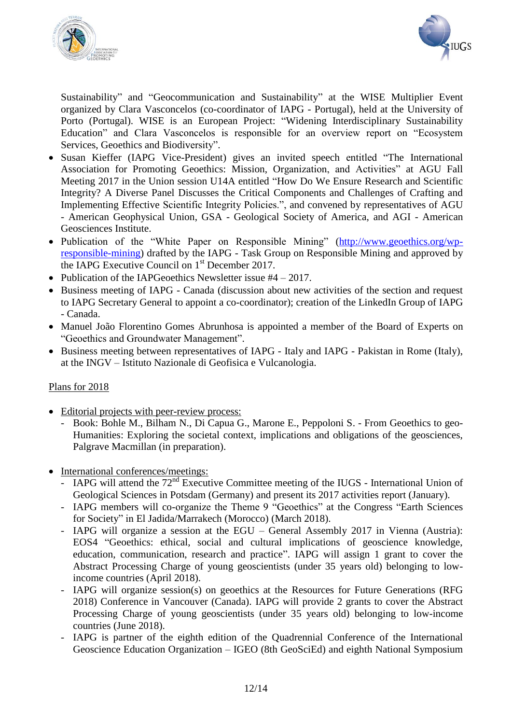



Sustainability" and "Geocommunication and Sustainability" at the WISE Multiplier Event organized by Clara Vasconcelos (co-coordinator of IAPG - Portugal), held at the University of Porto (Portugal). WISE is an European Project: "Widening Interdisciplinary Sustainability Education" and Clara Vasconcelos is responsible for an overview report on "Ecosystem Services, Geoethics and Biodiversity".

- Susan Kieffer (IAPG Vice-President) gives an invited speech entitled "The International Association for Promoting Geoethics: Mission, Organization, and Activities" at AGU Fall Meeting 2017 in the Union session U14A entitled "How Do We Ensure Research and Scientific Integrity? A Diverse Panel Discusses the Critical Components and Challenges of Crafting and Implementing Effective Scientific Integrity Policies.", and convened by representatives of AGU - American Geophysical Union, GSA - Geological Society of America, and AGI - American Geosciences Institute.
- Publication of the "White Paper on Responsible Mining" [\(http://www.geoethics.org/wp](http://www.geoethics.org/wp-responsible-mining)[responsible-mining\)](http://www.geoethics.org/wp-responsible-mining) drafted by the IAPG - Task Group on Responsible Mining and approved by the IAPG Executive Council on  $1<sup>st</sup>$  December 2017.
- Publication of the IAPGeoethics Newsletter issue  $#4 2017$ .
- Business meeting of IAPG Canada (discussion about new activities of the section and request to IAPG Secretary General to appoint a co-coordinator); creation of the LinkedIn Group of IAPG - Canada.
- Manuel João Florentino Gomes Abrunhosa is appointed a member of the Board of Experts on "Geoethics and Groundwater Management".
- Business meeting between representatives of IAPG Italy and IAPG Pakistan in Rome (Italy), at the INGV – Istituto Nazionale di Geofisica e Vulcanologia.

# Plans for 2018

- Editorial projects with peer-review process:
	- Book: Bohle M., Bilham N., Di Capua G., Marone E., Peppoloni S. From Geoethics to geo-Humanities: Exploring the societal context, implications and obligations of the geosciences, Palgrave Macmillan (in preparation).
- International conferences/meetings:
	- IAPG will attend the  $72<sup>nd</sup>$  Executive Committee meeting of the IUGS International Union of Geological Sciences in Potsdam (Germany) and present its 2017 activities report (January).
	- IAPG members will co-organize the Theme 9 "Geoethics" at the Congress "Earth Sciences for Society" in El Jadida/Marrakech (Morocco) (March 2018).
	- IAPG will organize a session at the EGU General Assembly 2017 in Vienna (Austria): EOS4 "Geoethics: ethical, social and cultural implications of geoscience knowledge, education, communication, research and practice". IAPG will assign 1 grant to cover the Abstract Processing Charge of young geoscientists (under 35 years old) belonging to lowincome countries (April 2018).
	- IAPG will organize session(s) on geoethics at the Resources for Future Generations (RFG 2018) Conference in Vancouver (Canada). IAPG will provide 2 grants to cover the Abstract Processing Charge of young geoscientists (under 35 years old) belonging to low-income countries (June 2018).
	- IAPG is partner of the eighth edition of the Quadrennial Conference of the International Geoscience Education Organization – IGEO (8th GeoSciEd) and eighth National Symposium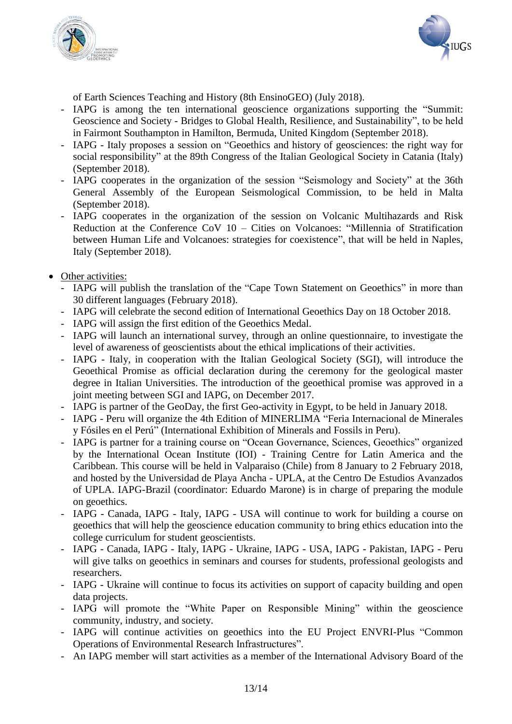



of Earth Sciences Teaching and History (8th EnsinoGEO) (July 2018).

- IAPG is among the ten international geoscience organizations supporting the "Summit: Geoscience and Society - Bridges to Global Health, Resilience, and Sustainability", to be held in Fairmont Southampton in Hamilton, Bermuda, United Kingdom (September 2018).
- IAPG Italy proposes a session on "Geoethics and history of geosciences: the right way for social responsibility" at the 89th Congress of the Italian Geological Society in Catania (Italy) (September 2018).
- IAPG cooperates in the organization of the session "Seismology and Society" at the 36th General Assembly of the European Seismological Commission, to be held in Malta (September 2018).
- IAPG cooperates in the organization of the session on Volcanic Multihazards and Risk Reduction at the Conference CoV 10 – Cities on Volcanoes: "Millennia of Stratification between Human Life and Volcanoes: strategies for coexistence", that will be held in Naples, Italy (September 2018).
- Other activities:
	- IAPG will publish the translation of the "Cape Town Statement on Geoethics" in more than 30 different languages (February 2018).
	- IAPG will celebrate the second edition of International Geoethics Day on 18 October 2018.
	- IAPG will assign the first edition of the Geoethics Medal.
	- IAPG will launch an international survey, through an online questionnaire, to investigate the level of awareness of geoscientists about the ethical implications of their activities.
	- IAPG Italy, in cooperation with the Italian Geological Society (SGI), will introduce the Geoethical Promise as official declaration during the ceremony for the geological master degree in Italian Universities. The introduction of the geoethical promise was approved in a joint meeting between SGI and IAPG, on December 2017.
	- IAPG is partner of the GeoDay, the first Geo-activity in Egypt, to be held in January 2018.
	- IAPG Peru will organize the 4th Edition of MINERLIMA "Feria Internacional de Minerales y Fósiles en el Perú" (International Exhibition of Minerals and Fossils in Peru).
	- IAPG is partner for a training course on "Ocean Governance, Sciences, Geoethics" organized by the International Ocean Institute (IOI) - Training Centre for Latin America and the Caribbean. This course will be held in Valparaiso (Chile) from 8 January to 2 February 2018, and hosted by the Universidad de Playa Ancha - UPLA, at the Centro De Estudios Avanzados of UPLA. IAPG-Brazil (coordinator: Eduardo Marone) is in charge of preparing the module on geoethics.
	- IAPG Canada, IAPG Italy, IAPG USA will continue to work for building a course on geoethics that will help the geoscience education community to bring ethics education into the college curriculum for student geoscientists.
	- IAPG Canada, IAPG Italy, IAPG Ukraine, IAPG USA, IAPG Pakistan, IAPG Peru will give talks on geoethics in seminars and courses for students, professional geologists and researchers.
	- IAPG Ukraine will continue to focus its activities on support of capacity building and open data projects.
	- IAPG will promote the "White Paper on Responsible Mining" within the geoscience community, industry, and society.
	- IAPG will continue activities on geoethics into the EU Project ENVRI-Plus "Common Operations of Environmental Research Infrastructures".
	- An IAPG member will start activities as a member of the International Advisory Board of the